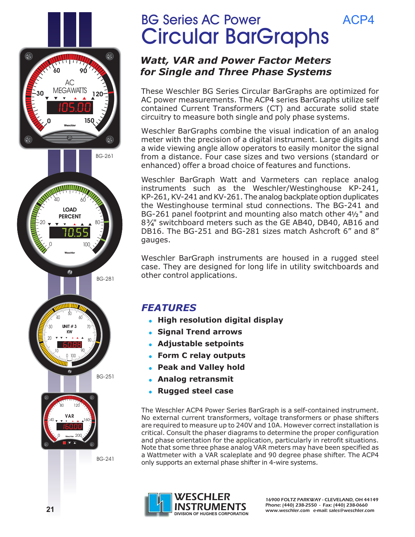

BG Series AC Power Circular BarGraphs

### *Watt, VAR and Power Factor Meters for Single and Three Phase Systems*

These Weschler BG Series Circular BarGraphs are optimized for AC power measurements. The ACP4 series BarGraphs utilize self contained Current Transformers (CT) and accurate solid state circuitry to measure both single and poly phase systems.

ACP4

Weschler BarGraphs combine the visual indication of an analog meter with the precision of a digital instrument. Large digits and a wide viewing angle allow operators to easily monitor the signal from a distance. Four case sizes and two versions (standard or enhanced) offer a broad choice of features and functions.

Weschler BarGraph Watt and Varmeters can replace analog instruments such as the Weschler/Westinghouse KP-241, KP-261, KV-241 and KV-261. The analog backplate option duplicates the Westinghouse terminal stud connections. The BG-241 and BG-261 panel footprint and mounting also match other  $4\frac{1}{2}$ " and  $8\frac{3}{4}$ " switchboard meters such as the GE AB40, DB40, AB16 and DB16. The BG-251 and BG-281 sizes match Ashcroft 6" and 8" gauges.

Weschler BarGraph instruments are housed in a rugged steel case. They are designed for long life in utility switchboards and other control applications.

## *FEATURES*

- **High resolution digital display**
- **Signal Trend arrows**
- **Adjustable setpoints**
- **Form C relay outputs**
- $\bullet$ **Peak and Valley hold**
- $\bullet$ **Analog retransmit**
- $\bullet$ **Rugged steel case**

The Weschler ACP4 Power Series BarGraph is a self-contained instrument. No external current transformers, voltage transformers or phase shifters are required to measure up to 240V and 10A. However correct installation is critical. Consult the phaser diagrams to determine the proper configuration and phase orientation for the application, particularly in retrofit situations. Note that some three phase analog VAR meters may have been specified as a Wattmeter with a VAR scaleplate and 90 degree phase shifter. The ACP4 only supports an external phase shifter in 4-wire systems.

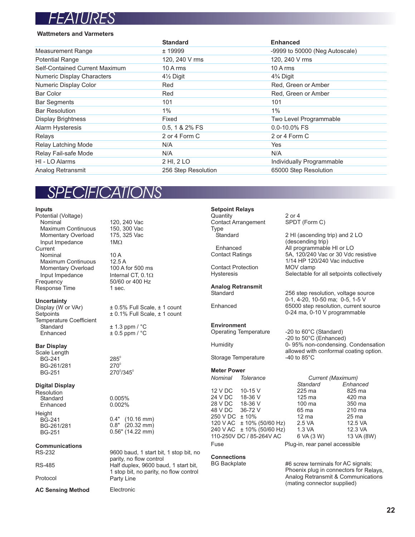

#### **Wattmeters and Varmeters**

|                                   | <b>Standard</b>        | <b>Enhanced</b>                |
|-----------------------------------|------------------------|--------------------------------|
| <b>Measurement Range</b>          | ± 19999                | -9999 to 50000 (Neg Autoscale) |
| <b>Potential Range</b>            | 120, 240 V rms         | 120, 240 V rms                 |
| Self-Contained Current Maximum    | 10 A rms               | $10A$ rms                      |
| <b>Numeric Display Characters</b> | 41/ <sub>2</sub> Digit | 4% Digit                       |
| Numeric Display Color             | Red                    | Red, Green or Amber            |
| <b>Bar Color</b>                  | Red                    | Red, Green or Amber            |
| <b>Bar Segments</b>               | 101                    | 101                            |
| <b>Bar Resolution</b>             | $1\%$                  | $1\%$                          |
| <b>Display Brightness</b>         | Fixed                  | Two Level Programmable         |
| <b>Alarm Hysteresis</b>           | 0.5, 1 & 2% FS         | $0.0 - 10.0\%$ FS              |
| Relays                            | 2 or 4 Form C          | 2 or 4 Form C                  |
| Relay Latching Mode               | N/A                    | Yes                            |
| Relay Fail-safe Mode              | N/A                    | N/A                            |
| HI - LO Alarms                    | 2 HI, 2 LO             | Individually Programmable      |
| Analog Retransmit                 | 256 Step Resolution    | 65000 Step Resolution          |

# *SPECIFICATIONS*

**Inputs** Potential (Voltage) Maximum Continuous 150, 300 Vac<br>Momentary Overload 175, 325 Vac Momentary Overload Input Impedance **Current** Nominal 10 A<br>Maximum Continuous 12.5 A Maximum Continuous 12.5 A<br>Momentary Overload 100 A for 500 ms Momentary Overload Input Impedance<br>Frequency Response Time

**Uncertainty**<br>Display (W or VAr) Temperature Coefficient<br>Standard Standard  $\pm 1.3$  ppm / °C<br>Enhanced  $\pm 0.5$  ppm / °C

#### **Bar Display**

Scale Length  $BG-241$ BG-261/281  $BG-251$  270 $\degree$ /345 $\degree$ 

#### **Digital Display**

Standard 0.005%<br>Enhanced 0.002% Enhanced **Resolution** Height

### **Communications**

Protocol

**AC Sensing Method**

120, 240 Vac  $1M\Omega$ 

50/60 or 400 Hz<br>1 sec. Internal CT,  $0.1\Omega$ 

Display (W or VAr)  $\pm 0.5\%$  Full Scale,  $\pm 1$  count<br>Setpoints  $\pm 0.1\%$  Full Scale,  $\pm 1$  count  $± 0.1%$  Full Scale,  $± 1$  count

 $\pm$  0.5 ppm /  $^{\circ}$ C

 $285^\circ$  $270^\circ$ 

BG-241 0.4" (10.16 mm)<br>BG-261/281 0.8" (20.32 mm) BG-261/281 0.8" (20.32 mm)<br>BG-251 0.56" (14.22 mm)

Electronic

RS-232 9600 baud, 1 start bit, 1 stop bit, no parity, no flow control RS-485 Half duplex, 9600 baud, 1 start bit, 1 stop bit, no parity, no flow control Party Line

**Setpoint Relays** Quantity 2 or 4<br>Contact Arrangement SPDT (Form C) **Contact Arrangement** Type<br>Standard

Enhanced **All programmable HI or LO**<br>Contact Ratings **ALL 56, 120/240** Vac or 30 Vdc

**Contact Protection** Hysteresis Selectable for all setpoints collectively

**Analog Retransmit** Standard 256 step resolution, voltage source

Enhanced 65000 step resolution, current source

#### **Environment**

Operating Temperature -20 to 60°C (Standard)

Humidity 0- 95% non-condensing. Condensation

Storage Temperature

#### **Meter Power**

18-36 V<br>36-72 V 120 V AC ± 10% (50/60 Hz) 2.5 VA 12.5 VA 240 V AC ± 10% (50/60 Hz) 1.3 VA 12.3 VA 12 V DC 10-15 V 225 ma 825 ma 24 V DC 18-36 V 125 ma 420 ma<br>28 V DC 18-36 V 100 ma 350 ma 28 V DC 18-36 V 100 ma 350 ma<br>48 V DC 36-72 V 65 ma 210 ma 48 V DC 36-72 V 65 ma 210 ma<br>250 V DC ± 10% 12 ma 25 ma 250 V DC ± 10% 12 ma 25 ma<br>120 V AC ± 10% (50/60 Hz) 2.5 VA 12.5 VA Fuse **Plug-in, rear panel accessible** *Nominal Tolerance Current (Maximum)* 240 V AC ± 10% (50/60 Hz) 1.3 VA 12.3 VA<br>110-250V DC / 85-264V AC 6 VA (3 W) 13 VA (8W)

# **Connections**

BG Backplate #6 screw terminals for AC signals; Phoenix plug in connectors for Relays, Analog Retransmit & Communications (mating connector supplied)

2 HI (ascending trip) and 2 LO

5A, 120/240 Vac or 30 Vdc resistive 1/14 HP 120/240 Vac inductive

0-1, 4-20, 10-50 ma; 0-5, 1-5 V

0-24 ma, 0-10 V programmable

allowed with conformal coating option.<br>-40 to 85°C

*Standard Enhanced*

-20 to 50°C (Enhanced)

(descending trip)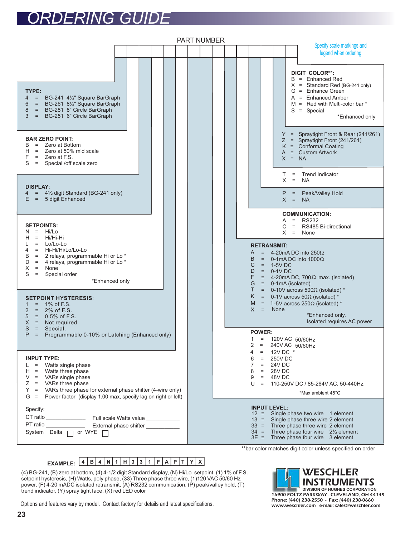# *ORDERING GUIDE*

| <b>PART NUMBER</b>                                                                                                                                                                                                                                                                                                               |                                                                                                                                                                                                                                                                                                                                                              |  |
|----------------------------------------------------------------------------------------------------------------------------------------------------------------------------------------------------------------------------------------------------------------------------------------------------------------------------------|--------------------------------------------------------------------------------------------------------------------------------------------------------------------------------------------------------------------------------------------------------------------------------------------------------------------------------------------------------------|--|
|                                                                                                                                                                                                                                                                                                                                  | Specify scale markings and<br>legend when ordering                                                                                                                                                                                                                                                                                                           |  |
| TYPE:<br>= BG-241 41/2" Square BarGraph<br>4<br>= BG-261 81/2" Square BarGraph<br>6<br>8<br>= BG-281 8" Circle BarGraph<br>3<br>= BG-251 6" Circle BarGraph<br><b>BAR ZERO POINT:</b><br>Zero at Bottom<br>В<br>$=$<br>Zero at 50% mid scale<br>н<br>$=$<br>F<br>Zero at F.S.<br>$=$<br>S<br>= Special /off scale zero           | <b>DIGIT COLOR**:</b><br>$B =$ Enhanced Red<br>$X =$ Standard Red (BG-241 only)<br>G = Enhance Green<br>$A =$ Enhanced Amber<br>$M =$ Red with Multi-color bar $*$<br>$S = Special$<br>*Enhanced only<br>$=$ Spraytight Front & Rear (241/261)<br>Y.<br>= Spraytight Front (241/261)<br>Ζ<br>Κ<br>= Conformal Coating<br>$=$ Custom Artwork<br>A<br>$X = NA$ |  |
| <b>DISPLAY:</b>                                                                                                                                                                                                                                                                                                                  | <b>Trend Indicator</b><br>T.<br>$\equiv$<br>X<br>$\equiv$<br><b>NA</b>                                                                                                                                                                                                                                                                                       |  |
| 4½ digit Standard (BG-241 only)<br>$=$<br>4<br>5 digit Enhanced<br>Е.<br>$=$                                                                                                                                                                                                                                                     | = Peak/Valley Hold<br>P<br>X<br>$=$<br><b>NA</b>                                                                                                                                                                                                                                                                                                             |  |
| <b>SETPOINTS:</b><br>Hi/Lo<br>$=$<br>N<br>Hi/Hi-Hi<br>$=$<br>н<br>Lo/Lo-Lo<br>$\equiv$<br>Hi-Hi/Hi/Lo/Lo-Lo<br>4<br>$\equiv$<br>В<br>2 relays, programmable Hi or Lo*<br>$=$<br>D<br>4 relays, programmable Hi or Lo*<br>$=$<br>Х<br>$\equiv$<br>None<br>S<br>Special order<br>$\equiv$                                          | <b>COMMUNICATION:</b><br><b>RS232</b><br>A<br>$=$<br>RS485 Bi-directional<br>С<br>$=$<br>$X = None$<br><b>RETRANSMIT:</b><br>$= 4$ -20mA DC into 250 $\Omega$<br>A<br>B<br>$= 0$ -1mA DC into 1000 $\Omega$<br>C<br>$= 1-5VDC$<br>D<br>$=$ 0-1V DC                                                                                                           |  |
| *Enhanced only<br><b>SETPOINT HYSTERESIS:</b><br>1% of F.S.<br>1<br>$=$<br>$\overline{2}$<br>2% of F.S.<br>$=$<br>5<br>$0.5%$ of F.S.<br>$=$<br>X<br>$=$<br>Not required                                                                                                                                                         | F<br>= 4-20mA DC, 700 $\Omega$ max. (isolated)<br>G<br>$=$ 0-1mA (isolated)<br>T.<br>$=$ 0-10V across 500 $\Omega$ (isolated) *<br>Κ<br>$=$ 0-1V across 50 $\Omega$ (isolated) *<br>$=$ 1-5V across 250 $\Omega$ (isolated) *<br>M<br>$X = None$<br>*Enhanced only.<br>Isolated requires AC power                                                            |  |
| S<br>$\equiv$<br>Special.<br>P<br>$\equiv$<br>Programmable 0-10% or Latching (Enhanced only)                                                                                                                                                                                                                                     | <b>POWER:</b><br>120V AC 50/60Hz<br>1.<br>$=$<br>2<br>240V AC 50/60Hz<br>$=$<br>4<br>$=$                                                                                                                                                                                                                                                                     |  |
| <b>INPUT TYPE:</b><br>$\equiv$<br>Watts single phase<br>L<br>Watts three phase<br>н<br>$\equiv$<br>VARs single phase<br>V<br>$\equiv$<br>Ζ<br>$=$<br>VARs three phase<br>Y<br>$\equiv$<br>VARs three phase for external phase shifter (4-wire only)<br>G<br>Power factor (display 1.00 max, specify lag on right or left)<br>$=$ | 12V DC *<br>6<br><b>250V DC</b><br>$=$<br>7<br>24V DC<br>$=$<br>8<br>28V DC<br>$=$<br>9<br>$= 48V$ DC<br>U<br>110-250V DC / 85-264V AC, 50-440Hz<br>$=$<br>*Max ambient 45°C                                                                                                                                                                                 |  |
| Specify:<br>System Delta □ or WYE [                                                                                                                                                                                                                                                                                              | <b>INPUT LEVEL:</b><br>Single phase two wire 1 element<br>$12 =$<br>Single phase three wire 2 element<br>$13 =$<br>Three phase three wire 2 element<br>$33 =$<br>Three phase four wire $2\frac{1}{2}$ element<br>$34 =$<br>Three phase four wire 3 element<br>$3E =$                                                                                         |  |

\*\*bar color matches digit color unless specified on order

### **4 B 4 N 1 H 3 3 1 F A P T Y X EXAMPLE:**

(4) BG-241, (B) zero at bottom, (4) 4-1/2 digit Standard display, (N) Hi/Lo setpoint, (1) 1% of F.S. setpoint hysteresis, (H) Watts, poly phase, (33) Three phase three wire, (1)120 VAC 50/60 Hz power, (F) 4-20 mADC isolated retransmit, (A) RS232 communication, (P) peak/valley hold, (T) trend indicator, (Y) spray tight face, (X) red LED color

Options and features vary by model. Contact factory for details and latest specifications.